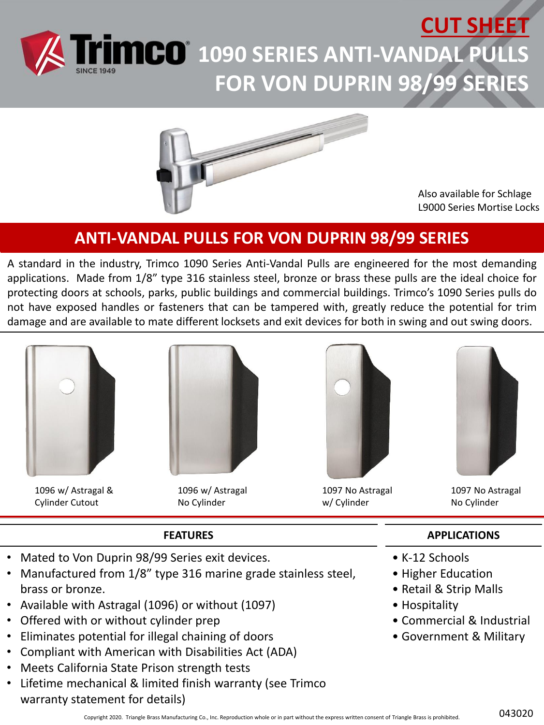# **CUT SHEET 1090 SERIES ANTI-VANDAL PULLS FOR VON DUPRIN 98/99 SERIES**



Also available for Schlage L9000 Series Mortise Locks

### **ANTI-VANDAL PULLS FOR VON DUPRIN 98/99 SERIES**

A standard in the industry, Trimco 1090 Series Anti-Vandal Pulls are engineered for the most demanding applications. Made from 1/8" type 316 stainless steel, bronze or brass these pulls are the ideal choice for protecting doors at schools, parks, public buildings and commercial buildings. Trimco's 1090 Series pulls do not have exposed handles or fasteners that can be tampered with, greatly reduce the potential for trim damage and are available to mate different locksets and exit devices for both in swing and out swing doors.



1096 w/ Astragal & Cylinder Cutout



1096 w/ Astragal No Cylinder



1097 No Astragal w/ Cylinder



1097 No Astragal No Cylinder

#### **FEATURES**

- Mated to Von Duprin 98/99 Series exit devices.
- Manufactured from 1/8" type 316 marine grade stainless steel, brass or bronze.
- Available with Astragal (1096) or without (1097)
- Offered with or without cylinder prep
- Eliminates potential for illegal chaining of doors
- Compliant with American with Disabilities Act (ADA)
- Meets California State Prison strength tests
- Lifetime mechanical & limited finish warranty (see Trimco warranty statement for details)

#### **APPLICATIONS**

- K-12 Schools
- Higher Education
- Retail & Strip Malls
- Hospitality
- Commercial & Industrial
- Government & Military